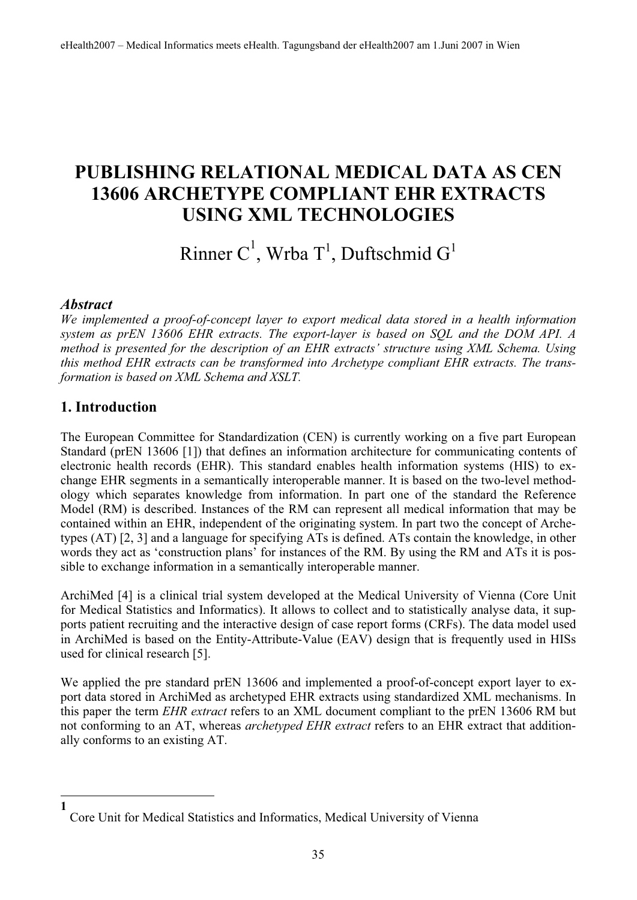## **PUBLISHING RELATIONAL MEDICAL DATA AS CEN 13606 ARCHETYPE COMPLIANT EHR EXTRACTS USING XML TECHNOLOGIES**

# Rinner C<sup>1</sup>, Wrba T<sup>1</sup>, Duftschmid G<sup>1</sup>

#### *Abstract*

**1**

*We implemented a proof-of-concept layer to export medical data stored in a health information system as prEN 13606 EHR extracts. The export-layer is based on SQL and the DOM API. A method is presented for the description of an EHR extracts' structure using XML Schema. Using this method EHR extracts can be transformed into Archetype compliant EHR extracts. The transformation is based on XML Schema and XSLT.*

#### **1. Introduction**

The European Committee for Standardization (CEN) is currently working on a five part European Standard (prEN 13606 [1]) that defines an information architecture for communicating contents of electronic health records (EHR). This standard enables health information systems (HIS) to exchange EHR segments in a semantically interoperable manner. It is based on the two-level methodology which separates knowledge from information. In part one of the standard the Reference Model (RM) is described. Instances of the RM can represent all medical information that may be contained within an EHR, independent of the originating system. In part two the concept of Archetypes (AT) [2, 3] and a language for specifying ATs is defined. ATs contain the knowledge, in other words they act as 'construction plans' for instances of the RM. By using the RM and ATs it is possible to exchange information in a semantically interoperable manner.

ArchiMed [4] is a clinical trial system developed at the Medical University of Vienna (Core Unit for Medical Statistics and Informatics). It allows to collect and to statistically analyse data, it supports patient recruiting and the interactive design of case report forms (CRFs). The data model used in ArchiMed is based on the Entity-Attribute-Value (EAV) design that is frequently used in HISs used for clinical research [5].

We applied the pre standard prEN 13606 and implemented a proof-of-concept export layer to export data stored in ArchiMed as archetyped EHR extracts using standardized XML mechanisms. In this paper the term *EHR extract* refers to an XML document compliant to the prEN 13606 RM but not conforming to an AT, whereas *archetyped EHR extract* refers to an EHR extract that additionally conforms to an existing AT.

Core Unit for Medical Statistics and Informatics, Medical University of Vienna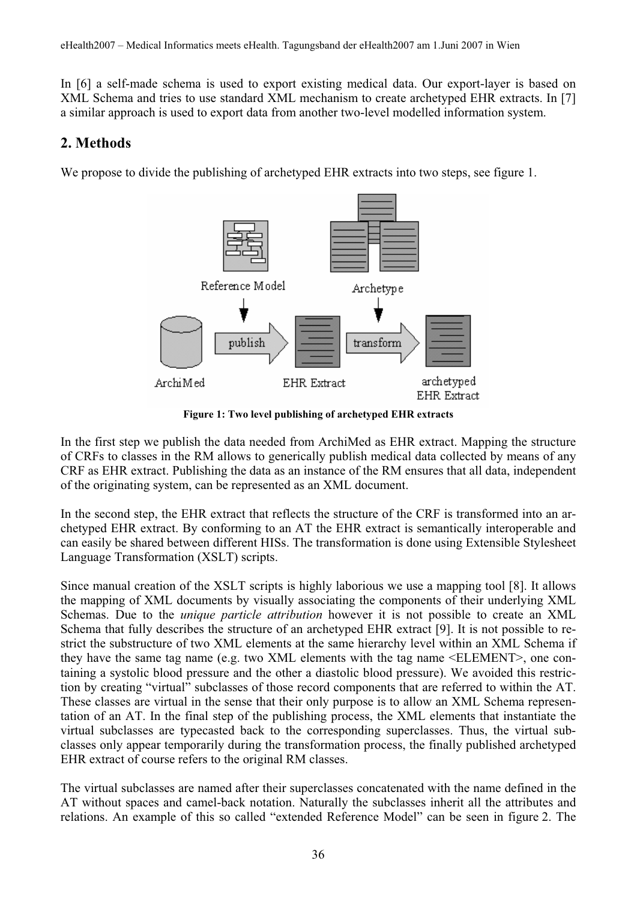In [6] a self-made schema is used to export existing medical data. Our export-layer is based on XML Schema and tries to use standard XML mechanism to create archetyped EHR extracts. In [7] a similar approach is used to export data from another two-level modelled information system.

#### **2. Methods**

We propose to divide the publishing of archetyped EHR extracts into two steps, see figure 1.



**Figure 1: Two level publishing of archetyped EHR extracts** 

In the first step we publish the data needed from ArchiMed as EHR extract. Mapping the structure of CRFs to classes in the RM allows to generically publish medical data collected by means of any CRF as EHR extract. Publishing the data as an instance of the RM ensures that all data, independent of the originating system, can be represented as an XML document.

In the second step, the EHR extract that reflects the structure of the CRF is transformed into an archetyped EHR extract. By conforming to an AT the EHR extract is semantically interoperable and can easily be shared between different HISs. The transformation is done using Extensible Stylesheet Language Transformation (XSLT) scripts.

Since manual creation of the XSLT scripts is highly laborious we use a mapping tool [8]. It allows the mapping of XML documents by visually associating the components of their underlying XML Schemas. Due to the *unique particle attribution* however it is not possible to create an XML Schema that fully describes the structure of an archetyped EHR extract [9]. It is not possible to restrict the substructure of two XML elements at the same hierarchy level within an XML Schema if they have the same tag name (e.g. two XML elements with the tag name <ELEMENT>, one containing a systolic blood pressure and the other a diastolic blood pressure). We avoided this restriction by creating "virtual" subclasses of those record components that are referred to within the AT. These classes are virtual in the sense that their only purpose is to allow an XML Schema representation of an AT. In the final step of the publishing process, the XML elements that instantiate the virtual subclasses are typecasted back to the corresponding superclasses. Thus, the virtual subclasses only appear temporarily during the transformation process, the finally published archetyped EHR extract of course refers to the original RM classes.

The virtual subclasses are named after their superclasses concatenated with the name defined in the AT without spaces and camel-back notation. Naturally the subclasses inherit all the attributes and relations. An example of this so called "extended Reference Model" can be seen in figure 2. The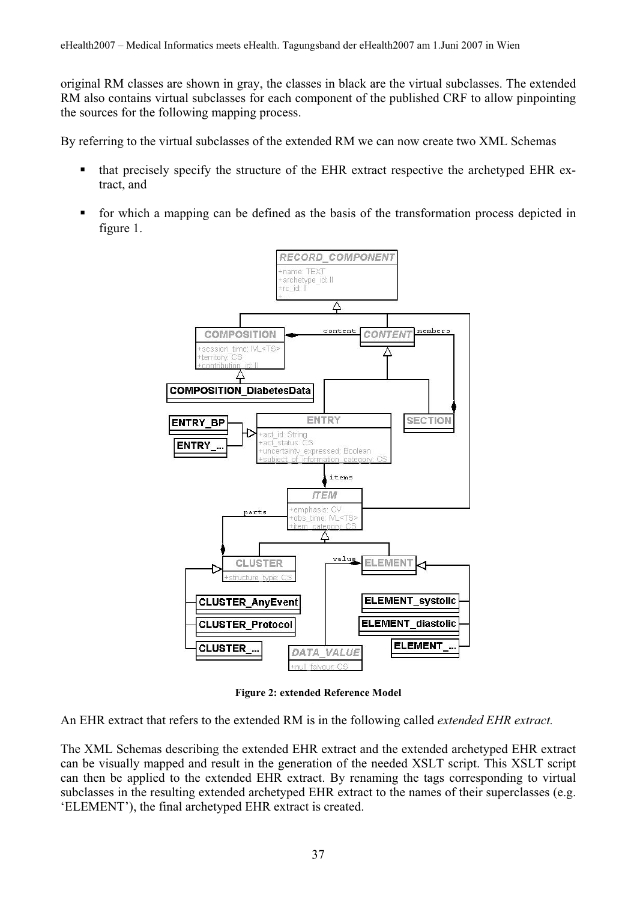original RM classes are shown in gray, the classes in black are the virtual subclasses. The extended RM also contains virtual subclasses for each component of the published CRF to allow pinpointing the sources for the following mapping process.

By referring to the virtual subclasses of the extended RM we can now create two XML Schemas

- that precisely specify the structure of the EHR extract respective the archetyped EHR extract, and
- for which a mapping can be defined as the basis of the transformation process depicted in figure 1.



**Figure 2: extended Reference Model** 

An EHR extract that refers to the extended RM is in the following called *extended EHR extract.* 

The XML Schemas describing the extended EHR extract and the extended archetyped EHR extract can be visually mapped and result in the generation of the needed XSLT script. This XSLT script can then be applied to the extended EHR extract. By renaming the tags corresponding to virtual subclasses in the resulting extended archetyped EHR extract to the names of their superclasses (e.g. 'ELEMENT'), the final archetyped EHR extract is created.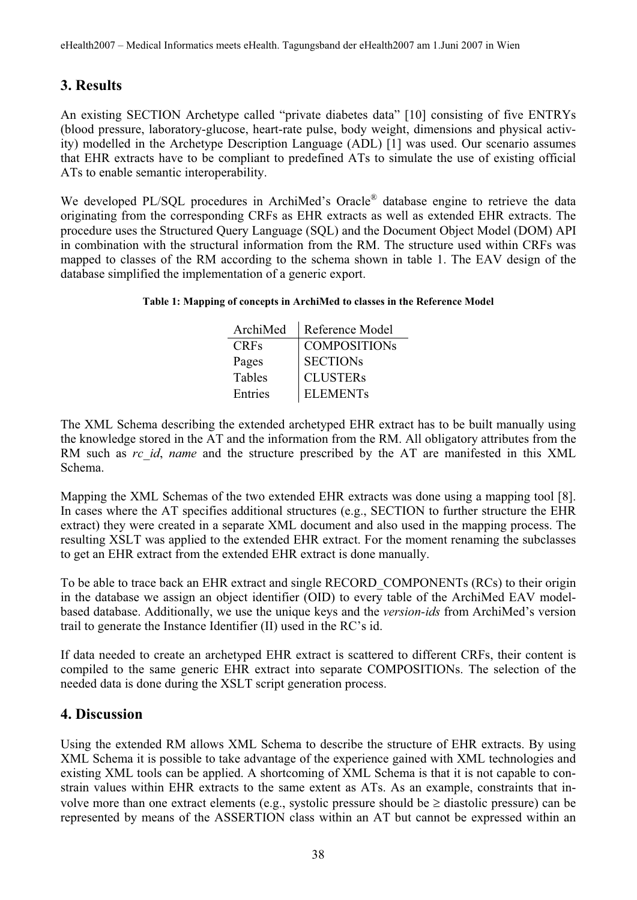### **3. Results**

An existing SECTION Archetype called "private diabetes data" [10] consisting of five ENTRYs (blood pressure, laboratory-glucose, heart-rate pulse, body weight, dimensions and physical activity) modelled in the Archetype Description Language (ADL) [1] was used. Our scenario assumes that EHR extracts have to be compliant to predefined ATs to simulate the use of existing official ATs to enable semantic interoperability.

We developed PL/SQL procedures in ArchiMed's Oracle® database engine to retrieve the data originating from the corresponding CRFs as EHR extracts as well as extended EHR extracts. The procedure uses the Structured Query Language (SQL) and the Document Object Model (DOM) API in combination with the structural information from the RM. The structure used within CRFs was mapped to classes of the RM according to the schema shown in table 1. The EAV design of the database simplified the implementation of a generic export.

#### **Table 1: Mapping of concepts in ArchiMed to classes in the Reference Model**

| ArchiMed    | Reference Model     |
|-------------|---------------------|
| <b>CRFs</b> | <b>COMPOSITIONS</b> |
| Pages       | <b>SECTIONs</b>     |
| Tables      | <b>CLUSTERs</b>     |
| Entries     | <b>ELEMENTs</b>     |

The XML Schema describing the extended archetyped EHR extract has to be built manually using the knowledge stored in the AT and the information from the RM. All obligatory attributes from the RM such as *rc* id, *name* and the structure prescribed by the AT are manifested in this XML Schema.

Mapping the XML Schemas of the two extended EHR extracts was done using a mapping tool [8]. In cases where the AT specifies additional structures (e.g., SECTION to further structure the EHR extract) they were created in a separate XML document and also used in the mapping process. The resulting XSLT was applied to the extended EHR extract. For the moment renaming the subclasses to get an EHR extract from the extended EHR extract is done manually.

To be able to trace back an EHR extract and single RECORD\_COMPONENTs (RCs) to their origin in the database we assign an object identifier (OID) to every table of the ArchiMed EAV modelbased database. Additionally, we use the unique keys and the *version-ids* from ArchiMed's version trail to generate the Instance Identifier (II) used in the RC's id.

If data needed to create an archetyped EHR extract is scattered to different CRFs, their content is compiled to the same generic EHR extract into separate COMPOSITIONs. The selection of the needed data is done during the XSLT script generation process.

#### **4. Discussion**

Using the extended RM allows XML Schema to describe the structure of EHR extracts. By using XML Schema it is possible to take advantage of the experience gained with XML technologies and existing XML tools can be applied. A shortcoming of XML Schema is that it is not capable to constrain values within EHR extracts to the same extent as ATs. As an example, constraints that involve more than one extract elements (e.g., systolic pressure should be  $\geq$  diastolic pressure) can be represented by means of the ASSERTION class within an AT but cannot be expressed within an